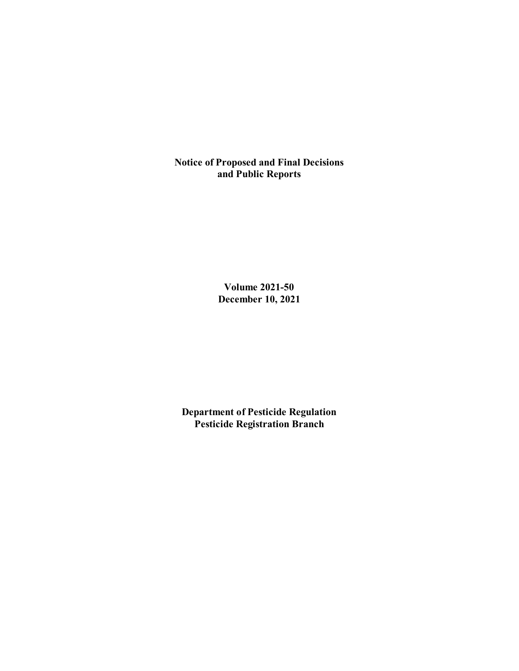**Notice of Proposed and Final Decisions and Public Reports**

> **Volume 2021-50 December 10, 2021**

**Department of Pesticide Regulation Pesticide Registration Branch**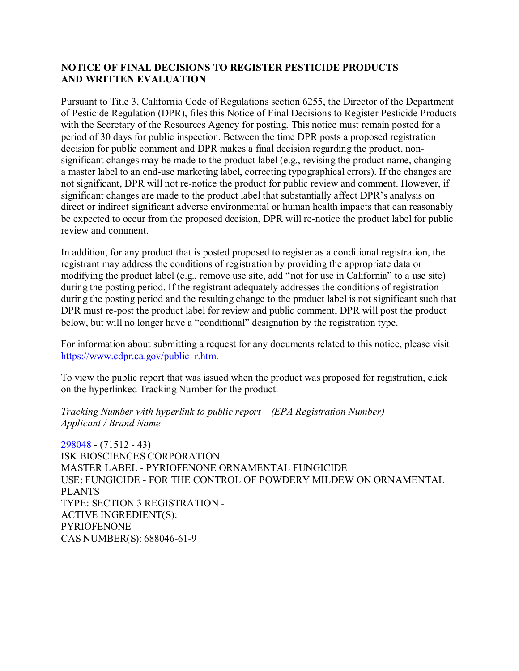# **NOTICE OF FINAL DECISIONS TO REGISTER PESTICIDE PRODUCTS AND WRITTEN EVALUATION**

Pursuant to Title 3, California Code of Regulations section 6255, the Director of the Department of Pesticide Regulation (DPR), files this Notice of Final Decisions to Register Pesticide Products with the Secretary of the Resources Agency for posting. This notice must remain posted for a period of 30 days for public inspection. Between the time DPR posts a proposed registration decision for public comment and DPR makes a final decision regarding the product, nonsignificant changes may be made to the product label (e.g., revising the product name, changing a master label to an end-use marketing label, correcting typographical errors). If the changes are not significant, DPR will not re-notice the product for public review and comment. However, if significant changes are made to the product label that substantially affect DPR's analysis on direct or indirect significant adverse environmental or human health impacts that can reasonably be expected to occur from the proposed decision, DPR will re-notice the product label for public review and comment.

In addition, for any product that is posted proposed to register as a conditional registration, the registrant may address the conditions of registration by providing the appropriate data or modifying the product label (e.g., remove use site, add "not for use in California" to a use site) during the posting period. If the registrant adequately addresses the conditions of registration during the posting period and the resulting change to the product label is not significant such that DPR must re-post the product label for review and public comment, DPR will post the product below, but will no longer have a "conditional" designation by the registration type.

For information about submitting a request for any documents related to this notice, please visit [https://www.cdpr.ca.gov/public\\_r.htm.](https://www.cdpr.ca.gov/public_r.htm)

To view the public report that was issued when the product was proposed for registration, click on the hyperlinked Tracking Number for the product.

*Tracking Number with hyperlink to public report – (EPA Registration Number) Applicant / Brand Name*

[298048](https://www.cdpr.ca.gov/docs/registration/nod/public_reports/298048.pdf) - (71512 - 43) ISK BIOSCIENCES CORPORATION MASTER LABEL - PYRIOFENONE ORNAMENTAL FUNGICIDE USE: FUNGICIDE - FOR THE CONTROL OF POWDERY MILDEW ON ORNAMENTAL PLANTS TYPE: SECTION 3 REGISTRATION - ACTIVE INGREDIENT(S): PYRIOFENONE CAS NUMBER(S): 688046-61-9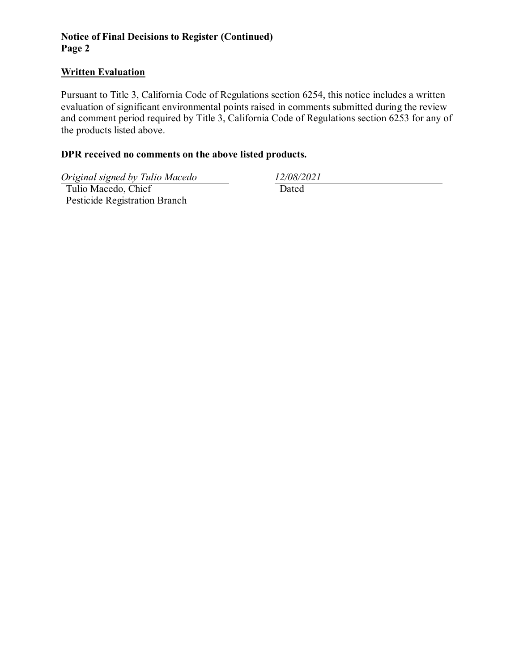### **Notice of Final Decisions to Register (Continued) Page 2**

### **Written Evaluation**

Pursuant to Title 3, California Code of Regulations section 6254, this notice includes a written evaluation of significant environmental points raised in comments submitted during the review and comment period required by Title 3, California Code of Regulations section 6253 for any of the products listed above.

### **DPR received no comments on the above listed products.**

*Original signed by Tulio Macedo 12/08/2021*

 Tulio Macedo, Chief Pesticide Registration Branch

Dated